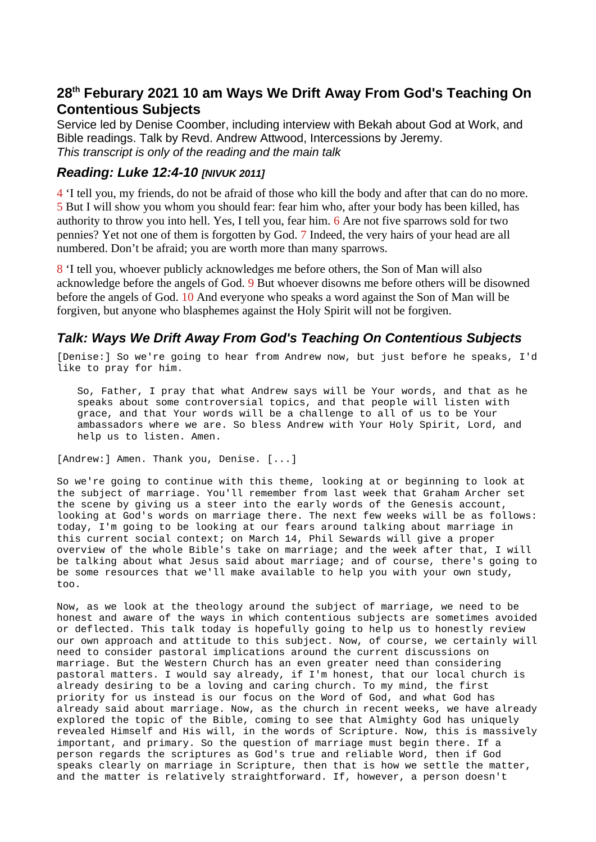## **28th Feburary 2021 10 am Ways We Drift Away From God's Teaching On Contentious Subjects**

Service led by Denise Coomber, including interview with Bekah about God at Work, and Bible readings. Talk by Revd. Andrew Attwood, Intercessions by Jeremy. *This transcript is only of the reading and the main talk*

## *Reading: Luke 12:4-10 [NIVUK 2011]*

4 'I tell you, my friends, do not be afraid of those who kill the body and after that can do no more. 5 But I will show you whom you should fear: fear him who, after your body has been killed, has authority to throw you into hell. Yes, I tell you, fear him. 6 Are not five sparrows sold for two pennies? Yet not one of them is forgotten by God. 7 Indeed, the very hairs of your head are all numbered. Don't be afraid; you are worth more than many sparrows.

8 'I tell you, whoever publicly acknowledges me before others, the Son of Man will also acknowledge before the angels of God. 9 But whoever disowns me before others will be disowned before the angels of God. 10 And everyone who speaks a word against the Son of Man will be forgiven, but anyone who blasphemes against the Holy Spirit will not be forgiven.

## *Talk: Ways We Drift Away From God's Teaching On Contentious Subjects*

[Denise:] So we're going to hear from Andrew now, but just before he speaks, I'd like to pray for him.

So, Father, I pray that what Andrew says will be Your words, and that as he speaks about some controversial topics, and that people will listen with grace, and that Your words will be a challenge to all of us to be Your ambassadors where we are. So bless Andrew with Your Holy Spirit, Lord, and help us to listen. Amen.

[Andrew:] Amen. Thank you, Denise. [...]

So we're going to continue with this theme, looking at or beginning to look at the subject of marriage. You'll remember from last week that Graham Archer set the scene by giving us a steer into the early words of the Genesis account, looking at God's words on marriage there. The next few weeks will be as follows: today, I'm going to be looking at our fears around talking about marriage in this current social context; on March 14, Phil Sewards will give a proper overview of the whole Bible's take on marriage; and the week after that, I will be talking about what Jesus said about marriage; and of course, there's going to be some resources that we'll make available to help you with your own study, too.

Now, as we look at the theology around the subject of marriage, we need to be honest and aware of the ways in which contentious subjects are sometimes avoided or deflected. This talk today is hopefully going to help us to honestly review our own approach and attitude to this subject. Now, of course, we certainly will need to consider pastoral implications around the current discussions on marriage. But the Western Church has an even greater need than considering pastoral matters. I would say already, if I'm honest, that our local church is already desiring to be a loving and caring church. To my mind, the first priority for us instead is our focus on the Word of God, and what God has already said about marriage. Now, as the church in recent weeks, we have already explored the topic of the Bible, coming to see that Almighty God has uniquely revealed Himself and His will, in the words of Scripture. Now, this is massively important, and primary. So the question of marriage must begin there. If a person regards the scriptures as God's true and reliable Word, then if God speaks clearly on marriage in Scripture, then that is how we settle the matter, and the matter is relatively straightforward. If, however, a person doesn't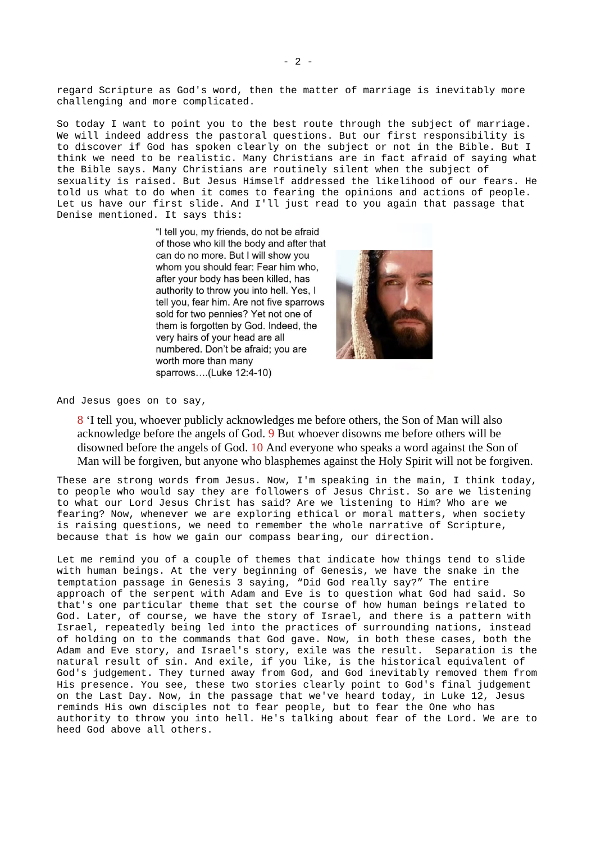regard Scripture as God's word, then the matter of marriage is inevitably more challenging and more complicated.

So today I want to point you to the best route through the subject of marriage. We will indeed address the pastoral questions. But our first responsibility is to discover if God has spoken clearly on the subject or not in the Bible. But I think we need to be realistic. Many Christians are in fact afraid of saying what the Bible says. Many Christians are routinely silent when the subject of sexuality is raised. But Jesus Himself addressed the likelihood of our fears. He told us what to do when it comes to fearing the opinions and actions of people. Let us have our first slide. And I'll just read to you again that passage that Denise mentioned. It says this:

> "I tell you, my friends, do not be afraid of those who kill the body and after that can do no more. But I will show you whom you should fear: Fear him who, after your body has been killed, has authority to throw you into hell. Yes, I tell you, fear him. Are not five sparrows sold for two pennies? Yet not one of them is forgotten by God. Indeed, the very hairs of your head are all numbered. Don't be afraid: you are worth more than many sparrows....(Luke 12:4-10)



And Jesus goes on to say,

8 'I tell you, whoever publicly acknowledges me before others, the Son of Man will also acknowledge before the angels of God. 9 But whoever disowns me before others will be disowned before the angels of God. 10 And everyone who speaks a word against the Son of Man will be forgiven, but anyone who blasphemes against the Holy Spirit will not be forgiven.

These are strong words from Jesus. Now, I'm speaking in the main, I think today, to people who would say they are followers of Jesus Christ. So are we listening to what our Lord Jesus Christ has said? Are we listening to Him? Who are we fearing? Now, whenever we are exploring ethical or moral matters, when society is raising questions, we need to remember the whole narrative of Scripture, because that is how we gain our compass bearing, our direction.

Let me remind you of a couple of themes that indicate how things tend to slide with human beings. At the very beginning of Genesis, we have the snake in the temptation passage in Genesis 3 saying, "Did God really say?" The entire approach of the serpent with Adam and Eve is to question what God had said. So that's one particular theme that set the course of how human beings related to God. Later, of course, we have the story of Israel, and there is a pattern with Israel, repeatedly being led into the practices of surrounding nations, instead of holding on to the commands that God gave. Now, in both these cases, both the Adam and Eve story, and Israel's story, exile was the result. Separation is the natural result of sin. And exile, if you like, is the historical equivalent of God's judgement. They turned away from God, and God inevitably removed them from His presence. You see, these two stories clearly point to God's final judgement on the Last Day. Now, in the passage that we've heard today, in Luke 12, Jesus reminds His own disciples not to fear people, but to fear the One who has authority to throw you into hell. He's talking about fear of the Lord. We are to heed God above all others.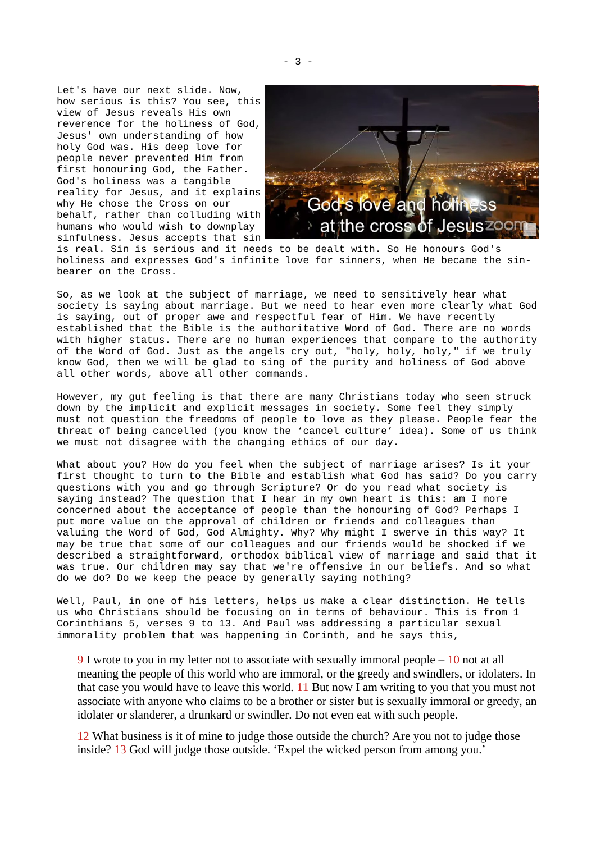Let's have our next slide. Now, how serious is this? You see, this view of Jesus reveals His own reverence for the holiness of God, Jesus' own understanding of how holy God was. His deep love for people never prevented Him from first honouring God, the Father. God's holiness was a tangible reality for Jesus, and it explains why He chose the Cross on our behalf, rather than colluding with humans who would wish to downplay sinfulness. Jesus accepts that sin



is real. Sin is serious and it needs to be dealt with. So He honours God's holiness and expresses God's infinite love for sinners, when He became the sinbearer on the Cross.

So, as we look at the subject of marriage, we need to sensitively hear what society is saying about marriage. But we need to hear even more clearly what God is saying, out of proper awe and respectful fear of Him. We have recently established that the Bible is the authoritative Word of God. There are no words with higher status. There are no human experiences that compare to the authority of the Word of God. Just as the angels cry out, "holy, holy, holy," if we truly know God, then we will be glad to sing of the purity and holiness of God above all other words, above all other commands.

However, my gut feeling is that there are many Christians today who seem struck down by the implicit and explicit messages in society. Some feel they simply must not question the freedoms of people to love as they please. People fear the threat of being cancelled (you know the 'cancel culture' idea). Some of us think we must not disagree with the changing ethics of our day.

What about you? How do you feel when the subject of marriage arises? Is it your first thought to turn to the Bible and establish what God has said? Do you carry questions with you and go through Scripture? Or do you read what society is saying instead? The question that I hear in my own heart is this: am I more concerned about the acceptance of people than the honouring of God? Perhaps I put more value on the approval of children or friends and colleagues than valuing the Word of God, God Almighty. Why? Why might I swerve in this way? It may be true that some of our colleagues and our friends would be shocked if we described a straightforward, orthodox biblical view of marriage and said that it was true. Our children may say that we're offensive in our beliefs. And so what do we do? Do we keep the peace by generally saying nothing?

Well, Paul, in one of his letters, helps us make a clear distinction. He tells us who Christians should be focusing on in terms of behaviour. This is from 1 Corinthians 5, verses 9 to 13. And Paul was addressing a particular sexual immorality problem that was happening in Corinth, and he says this,

9 I wrote to you in my letter not to associate with sexually immoral people – 10 not at all meaning the people of this world who are immoral, or the greedy and swindlers, or idolaters. In that case you would have to leave this world. 11 But now I am writing to you that you must not associate with anyone who claims to be a brother or sister but is sexually immoral or greedy, an idolater or slanderer, a drunkard or swindler. Do not even eat with such people.

12 What business is it of mine to judge those outside the church? Are you not to judge those inside? 13 God will judge those outside. 'Expel the wicked person from among you.'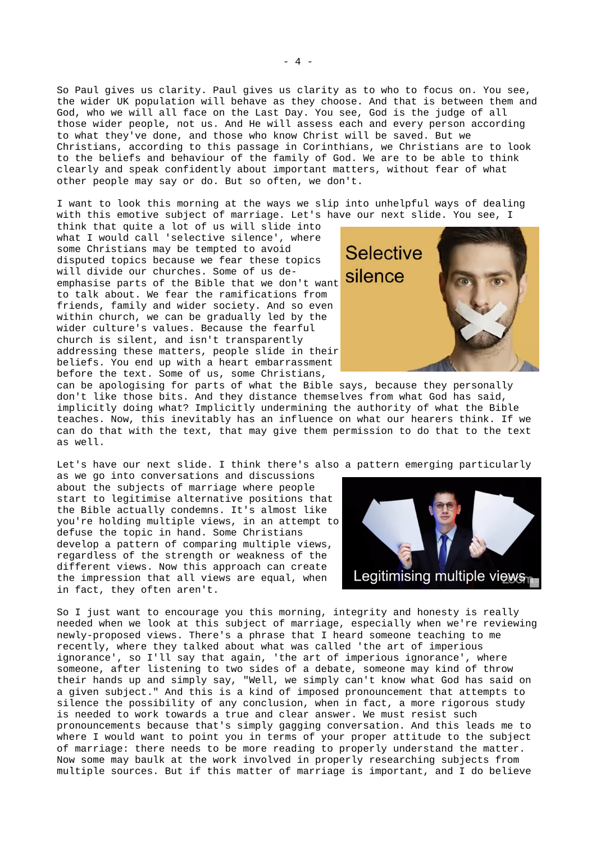So Paul gives us clarity. Paul gives us clarity as to who to focus on. You see, the wider UK population will behave as they choose. And that is between them and God, who we will all face on the Last Day. You see, God is the judge of all those wider people, not us. And He will assess each and every person according to what they've done, and those who know Christ will be saved. But we Christians, according to this passage in Corinthians, we Christians are to look to the beliefs and behaviour of the family of God. We are to be able to think clearly and speak confidently about important matters, without fear of what other people may say or do. But so often, we don't.

I want to look this morning at the ways we slip into unhelpful ways of dealing with this emotive subject of marriage. Let's have our next slide. You see, I

think that quite a lot of us will slide into what I would call 'selective silence', where some Christians may be tempted to avoid disputed topics because we fear these topics will divide our churches. Some of us deemphasise parts of the Bible that we don't want to talk about. We fear the ramifications from friends, family and wider society. And so even within church, we can be gradually led by the wider culture's values. Because the fearful church is silent, and isn't transparently addressing these matters, people slide in their beliefs. You end up with a heart embarrassment before the text. Some of us, some Christians,



can be apologising for parts of what the Bible says, because they personally don't like those bits. And they distance themselves from what God has said, implicitly doing what? Implicitly undermining the authority of what the Bible teaches. Now, this inevitably has an influence on what our hearers think. If we can do that with the text, that may give them permission to do that to the text as well.

Let's have our next slide. I think there's also a pattern emerging particularly

as we go into conversations and discussions about the subjects of marriage where people start to legitimise alternative positions that the Bible actually condemns. It's almost like you're holding multiple views, in an attempt to defuse the topic in hand. Some Christians develop a pattern of comparing multiple views, regardless of the strength or weakness of the different views. Now this approach can create the impression that all views are equal, when in fact, they often aren't.



So I just want to encourage you this morning, integrity and honesty is really needed when we look at this subject of marriage, especially when we're reviewing newly-proposed views. There's a phrase that I heard someone teaching to me recently, where they talked about what was called 'the art of imperious ignorance', so I'll say that again, 'the art of imperious ignorance', where someone, after listening to two sides of a debate, someone may kind of throw their hands up and simply say, "Well, we simply can't know what God has said on a given subject." And this is a kind of imposed pronouncement that attempts to silence the possibility of any conclusion, when in fact, a more rigorous study is needed to work towards a true and clear answer. We must resist such pronouncements because that's simply gagging conversation. And this leads me to where I would want to point you in terms of your proper attitude to the subject of marriage: there needs to be more reading to properly understand the matter. Now some may baulk at the work involved in properly researching subjects from multiple sources. But if this matter of marriage is important, and I do believe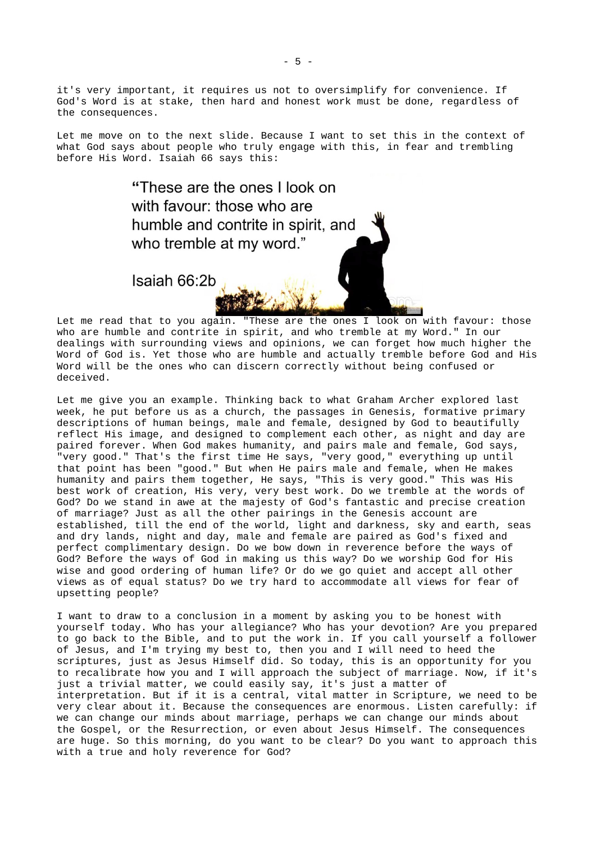it's very important, it requires us not to oversimplify for convenience. If God's Word is at stake, then hard and honest work must be done, regardless of the consequences.

Let me move on to the next slide. Because I want to set this in the context of what God says about people who truly engage with this, in fear and trembling before His Word. Isaiah 66 says this:

> "These are the ones I look on with favour: those who are humble and contrite in spirit, and who tremble at my word."

Isaiah 66:2b

Let me read that to you again. "These are the ones I look on with favour: those who are humble and contrite in spirit, and who tremble at my Word." In our dealings with surrounding views and opinions, we can forget how much higher the Word of God is. Yet those who are humble and actually tremble before God and His Word will be the ones who can discern correctly without being confused or deceived.

Let me give you an example. Thinking back to what Graham Archer explored last week, he put before us as a church, the passages in Genesis, formative primary descriptions of human beings, male and female, designed by God to beautifully reflect His image, and designed to complement each other, as night and day are paired forever. When God makes humanity, and pairs male and female, God says, "very good." That's the first time He says, "very good," everything up until that point has been "good." But when He pairs male and female, when He makes humanity and pairs them together, He says, "This is very good." This was His best work of creation, His very, very best work. Do we tremble at the words of God? Do we stand in awe at the majesty of God's fantastic and precise creation of marriage? Just as all the other pairings in the Genesis account are established, till the end of the world, light and darkness, sky and earth, seas and dry lands, night and day, male and female are paired as God's fixed and perfect complimentary design. Do we bow down in reverence before the ways of God? Before the ways of God in making us this way? Do we worship God for His wise and good ordering of human life? Or do we go quiet and accept all other views as of equal status? Do we try hard to accommodate all views for fear of upsetting people?

I want to draw to a conclusion in a moment by asking you to be honest with yourself today. Who has your allegiance? Who has your devotion? Are you prepared to go back to the Bible, and to put the work in. If you call yourself a follower of Jesus, and I'm trying my best to, then you and I will need to heed the scriptures, just as Jesus Himself did. So today, this is an opportunity for you to recalibrate how you and I will approach the subject of marriage. Now, if it's just a trivial matter, we could easily say, it's just a matter of interpretation. But if it is a central, vital matter in Scripture, we need to be very clear about it. Because the consequences are enormous. Listen carefully: if we can change our minds about marriage, perhaps we can change our minds about the Gospel, or the Resurrection, or even about Jesus Himself. The consequences are huge. So this morning, do you want to be clear? Do you want to approach this with a true and holy reverence for God?